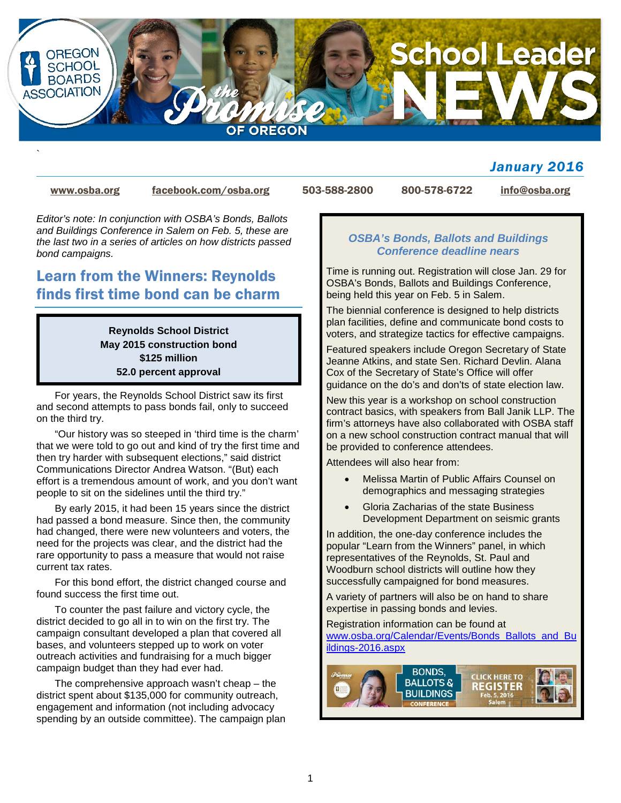

### *January 2016*

`

[www.osba.org](http://www.osba.org/) [facebook.com/osba.org](http://www.facebook.com/osba.org) 503-588-2800 800-578-6722 [info@osba.org](mailto:info@osba.org)

*Editor's note: In conjunction with OSBA's Bonds, Ballots and Buildings Conference in Salem on Feb. 5, these are the last two in a series of articles on how districts passed bond campaigns.* 

# Learn from the Winners: Reynolds finds first time bond can be charm

**Reynolds School District May 2015 construction bond \$125 million 52.0 percent approval**

For years, the Reynolds School District saw its first and second attempts to pass bonds fail, only to succeed on the third try.

"Our history was so steeped in 'third time is the charm' that we were told to go out and kind of try the first time and then try harder with subsequent elections," said district Communications Director Andrea Watson. "(But) each effort is a tremendous amount of work, and you don't want people to sit on the sidelines until the third try."

By early 2015, it had been 15 years since the district had passed a bond measure. Since then, the community had changed, there were new volunteers and voters, the need for the projects was clear, and the district had the rare opportunity to pass a measure that would not raise current tax rates.

For this bond effort, the district changed course and found success the first time out.

To counter the past failure and victory cycle, the district decided to go all in to win on the first try. The campaign consultant developed a plan that covered all bases, and volunteers stepped up to work on voter outreach activities and fundraising for a much bigger campaign budget than they had ever had.

The comprehensive approach wasn't cheap – the district spent about \$135,000 for community outreach, engagement and information (not including advocacy spending by an outside committee). The campaign plan

#### *OSBA's Bonds, Ballots and Buildings Conference deadline nears*

Time is running out. Registration will close Jan. 29 for OSBA's Bonds, Ballots and Buildings Conference, being held this year on Feb. 5 in Salem.

The biennial conference is designed to help districts plan facilities, define and communicate bond costs to voters, and strategize tactics for effective campaigns.

Featured speakers include Oregon Secretary of State Jeanne Atkins, and state Sen. Richard Devlin. Alana Cox of the Secretary of State's Office will offer guidance on the do's and don'ts of state election law.

New this year is a workshop on school construction contract basics, with speakers from Ball Janik LLP. The firm's attorneys have also collaborated with OSBA staff on a new school construction contract manual that will be provided to conference attendees.

Attendees will also hear from:

- Melissa Martin of Public Affairs Counsel on demographics and messaging strategies
- Gloria Zacharias of the state Business Development Department on seismic grants

In addition, the one-day conference includes the popular "Learn from the Winners" panel, in which representatives of the Reynolds, St. Paul and Woodburn school districts will outline how they successfully campaigned for bond measures.

A variety of partners will also be on hand to share expertise in passing bonds and levies.

Registration information can be found at [www.osba.org/Calendar/Events/Bonds\\_Ballots\\_and\\_Bu](http://www.osba.org/Calendar/Events/Bonds_Ballots_and_Buildings-2016.aspx) [ildings-2016.aspx](http://www.osba.org/Calendar/Events/Bonds_Ballots_and_Buildings-2016.aspx)

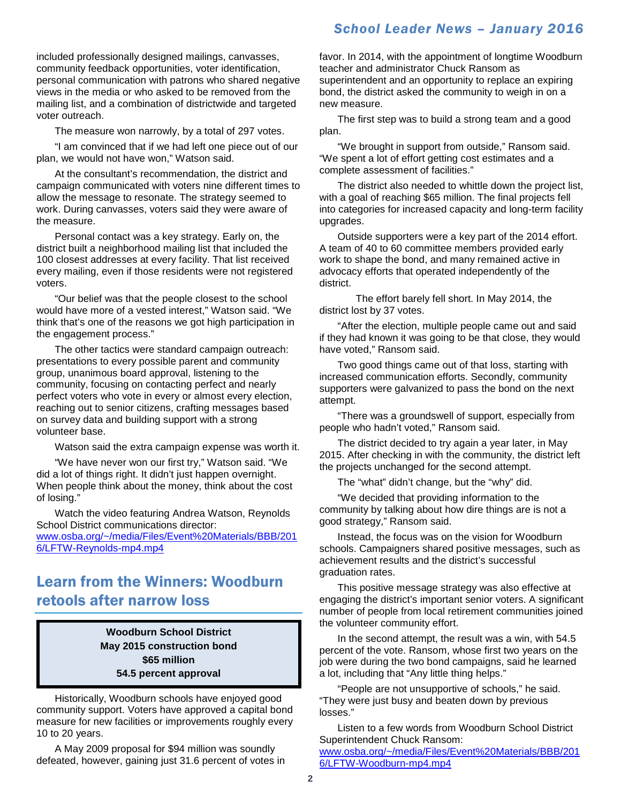### *School Leader News – January 2016*

included professionally designed mailings, canvasses, community feedback opportunities, voter identification, personal communication with patrons who shared negative views in the media or who asked to be removed from the mailing list, and a combination of districtwide and targeted voter outreach.

The measure won narrowly, by a total of 297 votes.

"I am convinced that if we had left one piece out of our plan, we would not have won," Watson said.

At the consultant's recommendation, the district and campaign communicated with voters nine different times to allow the message to resonate. The strategy seemed to work. During canvasses, voters said they were aware of the measure.

Personal contact was a key strategy. Early on, the district built a neighborhood mailing list that included the 100 closest addresses at every facility. That list received every mailing, even if those residents were not registered voters.

"Our belief was that the people closest to the school would have more of a vested interest," Watson said. "We think that's one of the reasons we got high participation in the engagement process."

The other tactics were standard campaign outreach: presentations to every possible parent and community group, unanimous board approval, listening to the community, focusing on contacting perfect and nearly perfect voters who vote in every or almost every election, reaching out to senior citizens, crafting messages based on survey data and building support with a strong volunteer base.

Watson said the extra campaign expense was worth it.

"We have never won our first try," Watson said. "We did a lot of things right. It didn't just happen overnight. When people think about the money, think about the cost of losing."

Watch the video featuring Andrea Watson, Reynolds School District communications director: [www.osba.org/~/media/Files/Event%20Materials/BBB/201](http://www.osba.org/%7E/media/Files/Event%20Materials/BBB/2016/LFTW-Reynolds-mp4.mp4) [6/LFTW-Reynolds-mp4.mp4](http://www.osba.org/%7E/media/Files/Event%20Materials/BBB/2016/LFTW-Reynolds-mp4.mp4)

### Learn from the Winners: Woodburn retools after narrow loss

**Woodburn School District May 2015 construction bond \$65 million 54.5 percent approval**

Historically, Woodburn schools have enjoyed good community support. Voters have approved a capital bond measure for new facilities or improvements roughly every 10 to 20 years.

A May 2009 proposal for \$94 million was soundly defeated, however, gaining just 31.6 percent of votes in favor. In 2014, with the appointment of longtime Woodburn teacher and administrator Chuck Ransom as superintendent and an opportunity to replace an expiring bond, the district asked the community to weigh in on a new measure.

The first step was to build a strong team and a good plan.

"We brought in support from outside," Ransom said. "We spent a lot of effort getting cost estimates and a complete assessment of facilities."

The district also needed to whittle down the project list, with a goal of reaching \$65 million. The final projects fell into categories for increased capacity and long-term facility upgrades.

Outside supporters were a key part of the 2014 effort. A team of 40 to 60 committee members provided early work to shape the bond, and many remained active in advocacy efforts that operated independently of the district.

The effort barely fell short. In May 2014, the district lost by 37 votes.

"After the election, multiple people came out and said if they had known it was going to be that close, they would have voted," Ransom said.

Two good things came out of that loss, starting with increased communication efforts. Secondly, community supporters were galvanized to pass the bond on the next attempt.

"There was a groundswell of support, especially from people who hadn't voted," Ransom said.

The district decided to try again a year later, in May 2015. After checking in with the community, the district left the projects unchanged for the second attempt.

The "what" didn't change, but the "why" did.

"We decided that providing information to the community by talking about how dire things are is not a good strategy," Ransom said.

Instead, the focus was on the vision for Woodburn schools. Campaigners shared positive messages, such as achievement results and the district's successful graduation rates.

This positive message strategy was also effective at engaging the district's important senior voters. A significant number of people from local retirement communities joined the volunteer community effort.

In the second attempt, the result was a win, with 54.5 percent of the vote. Ransom, whose first two years on the job were during the two bond campaigns, said he learned a lot, including that "Any little thing helps."

"People are not unsupportive of schools," he said. "They were just busy and beaten down by previous losses."

[6/LFTW-Woodburn-mp4.mp4](http://www.osba.org/%7E/media/Files/Event%20Materials/BBB/2016/LFTW-Woodburn-mp4.mp4)

Listen to a few words from Woodburn School District Superintendent Chuck Ransom: [www.osba.org/~/media/Files/Event%20Materials/BBB/201](http://www.osba.org/%7E/media/Files/Event%20Materials/BBB/2016/LFTW-Woodburn-mp4.mp4)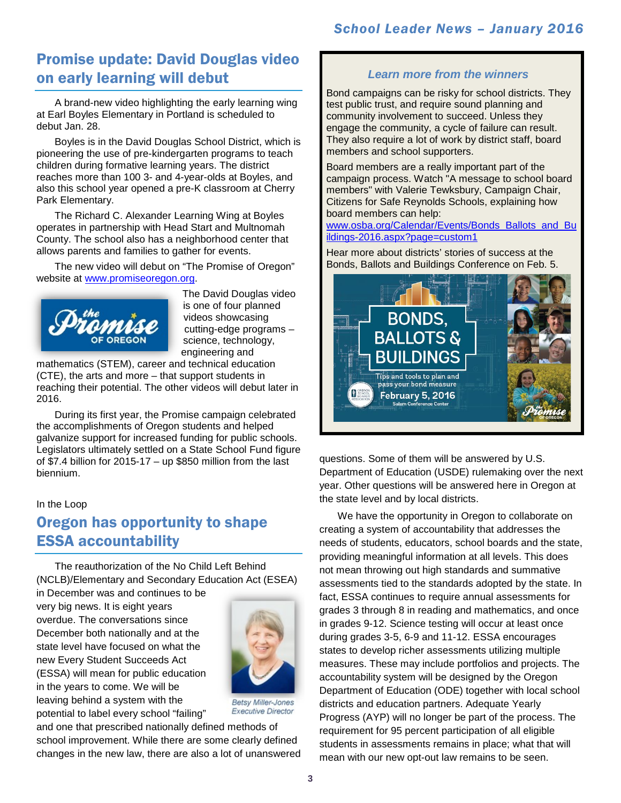## Promise update: David Douglas video on early learning will debut

A brand-new video highlighting the early learning wing at Earl Boyles Elementary in Portland is scheduled to debut Jan. 28.

Boyles is in the David Douglas School District, which is pioneering the use of pre-kindergarten programs to teach children during formative learning years. The district reaches more than 100 3- and 4-year-olds at Boyles, and also this school year opened a pre-K classroom at Cherry Park Elementary.

The Richard C. Alexander Learning Wing at Boyles operates in partnership with Head Start and Multnomah County. The school also has a neighborhood center that allows parents and families to gather for events.

The new video will debut on "The Promise of Oregon" website at [www.promiseoregon.org.](http://promiseoregon.org/)



The David Douglas video is one of four planned videos showcasing cutting-edge programs – science, technology, engineering and

[mathematics \(STEM\), career and](http://promiseoregon.org/) technical education (CTE), the arts and more – that support students in reaching their potential. The other videos will debut later in 2016.

During its first year, the Promise campaign celebrated the accomplishments of Oregon students and helped galvanize support for increased funding for public schools. Legislators ultimately settled on a State School Fund figure of \$7.4 billion for  $2015-17 -$  up \$850 million from the last biennium.

#### In the Loop

# Oregon has opportunity to shape ESSA accountability

The reauthorization of the No Child Left Behind (NCLB)/Elementary and Secondary Education Act (ESEA)

in December was and continues to be very big news. It is eight years overdue. The conversations since December both nationally and at the state level have focused on what the new Every Student Succeeds Act (ESSA) will mean for public education in the years to come. We will be leaving behind a system with the potential to label every school "failing"



**Betsy Miller-Jones Executive Director** 

and one that prescribed nationally defined methods of school improvement. While there are some clearly defined changes in the new law, there are also a lot of unanswered

### *Learn more from the winners*

Bond campaigns can be risky for school districts. They test public trust, and require sound planning and community involvement to succeed. Unless they engage the community, a cycle of failure can result. They also require a lot of work by district staff, board members and school supporters.

Board members are a really important part of the campaign process. Watch "A message to school board members" with Valerie Tewksbury, Campaign Chair, Citizens for Safe Reynolds Schools, explaining how board members can help:

[www.osba.org/Calendar/Events/Bonds\\_Ballots\\_and\\_Bu](http://www.osba.org/Calendar/Events/Bonds_Ballots_and_Buildings-2016.aspx?page=custom1) [ildings-2016.aspx?page=custom1](http://www.osba.org/Calendar/Events/Bonds_Ballots_and_Buildings-2016.aspx?page=custom1)

Hear more about districts' stories of success at the Bonds, Ballots and Buildings Conference on Feb. 5.



questions. Some of them will be answered by U.S. Department of Education (USDE) rulemaking over the next year. Other questions will be answered here in Oregon at the state level and by local districts.

We have the opportunity in Oregon to collaborate on creating a system of accountability that addresses the needs of students, educators, school boards and the state, providing meaningful information at all levels. This does not mean throwing out high standards and summative assessments tied to the standards adopted by the state. In fact, ESSA continues to require annual assessments for grades 3 through 8 in reading and mathematics, and once in grades 9-12. Science testing will occur at least once during grades 3-5, 6-9 and 11-12. ESSA encourages states to develop richer assessments utilizing multiple measures. These may include portfolios and projects. The accountability system will be designed by the Oregon Department of Education (ODE) together with local school districts and education partners. Adequate Yearly Progress (AYP) will no longer be part of the process. The requirement for 95 percent participation of all eligible students in assessments remains in place; what that will mean with our new opt-out law remains to be seen.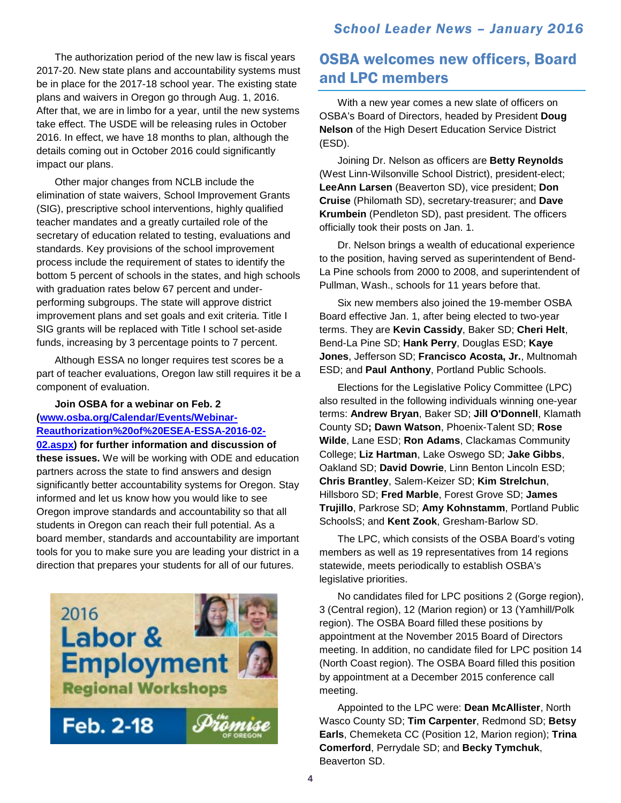### *School Leader News – January 2016*

The authorization period of the new law is fiscal years 2017-20. New state plans and accountability systems must be in place for the 2017-18 school year. The existing state plans and waivers in Oregon go through Aug. 1, 2016. After that, we are in limbo for a year, until the new systems take effect. The USDE will be releasing rules in October 2016. In effect, we have 18 months to plan, although the details coming out in October 2016 could significantly impact our plans.

Other major changes from NCLB include the elimination of state waivers, School Improvement Grants (SIG), prescriptive school interventions, highly qualified teacher mandates and a greatly curtailed role of the secretary of education related to testing, evaluations and standards. Key provisions of the school improvement process include the requirement of states to identify the bottom 5 percent of schools in the states, and high schools with graduation rates below 67 percent and underperforming subgroups. The state will approve district improvement plans and set goals and exit criteria. Title I SIG grants will be replaced with Title I school set-aside funds, increasing by 3 percentage points to 7 percent.

Although ESSA no longer requires test scores be a part of teacher evaluations, Oregon law still requires it be a component of evaluation.

### **Join OSBA for a webinar on Feb. 2 [\(www.osba.org/Calendar/Events/Webinar-](http://www.osba.org/Calendar/Events/Webinar-Reauthorization%20of%20ESEA-ESSA-2016-02-02.aspx)[Reauthorization%20of%20ESEA-ESSA-2016-02-](http://www.osba.org/Calendar/Events/Webinar-Reauthorization%20of%20ESEA-ESSA-2016-02-02.aspx)**

**[02.aspx\)](http://www.osba.org/Calendar/Events/Webinar-Reauthorization%20of%20ESEA-ESSA-2016-02-02.aspx) for further information and discussion of these issues.** We will be working with ODE and education partners across the state to find answers and design significantly better accountability systems for Oregon. Stay informed and let us know how you would like to see Oregon improve standards and accountability so that all students in Oregon can reach their full potential. As a board member, standards and accountability are important tools for you to make sure you are leading your district in a direction that prepares your students for all of our futures.



### OSBA welcomes new officers, Board and LPC members

With a new year comes a new slate of officers on OSBA's Board of Directors, headed by President **Doug Nelson** of the High Desert Education Service District (ESD).

Joining Dr. Nelson as officers are **Betty Reynolds** (West Linn-Wilsonville School District), president-elect; **LeeAnn Larsen** (Beaverton SD), vice president; **Don Cruise** (Philomath SD), secretary-treasurer; and **Dave Krumbein** (Pendleton SD), past president. The officers officially took their posts on Jan. 1.

Dr. Nelson brings a wealth of educational experience to the position, having served as superintendent of Bend-La Pine schools from 2000 to 2008, and superintendent of Pullman, Wash., schools for 11 years before that.

Six new members also joined the 19-member OSBA Board effective Jan. 1, after being elected to two-year terms. They are **Kevin Cassidy**, Baker SD; **Cheri Helt**, Bend-La Pine SD; **Hank Perry**, Douglas ESD; **Kaye Jones**, Jefferson SD; **Francisco Acosta, Jr.**, Multnomah ESD; and **Paul Anthony**, Portland Public Schools.

Elections for the Legislative Policy Committee (LPC) also resulted in the following individuals winning one-year terms: **Andrew Bryan**, Baker SD; **Jill O'Donnell**, Klamath County SD**; Dawn Watson**, Phoenix-Talent SD; **Rose Wilde**, Lane ESD; **Ron Adams**, Clackamas Community College; **Liz Hartman**, Lake Oswego SD; **Jake Gibbs**, Oakland SD; **David Dowrie**, Linn Benton Lincoln ESD; **Chris Brantley**, Salem-Keizer SD; **Kim Strelchun**, Hillsboro SD; **Fred Marble**, Forest Grove SD; **James Trujillo**, Parkrose SD; **Amy Kohnstamm**, Portland Public SchoolsS; and **Kent Zook**, Gresham-Barlow SD.

The LPC, which consists of the OSBA Board's voting members as well as 19 representatives from 14 regions statewide, meets periodically to establish OSBA's legislative priorities.

No candidates filed for LPC positions 2 (Gorge region), 3 (Central region), 12 (Marion region) or 13 (Yamhill/Polk region). The OSBA Board filled these positions by appointment at the November 2015 Board of Directors meeting. In addition, no candidate filed for LPC position 14 (North Coast region). The OSBA Board filled this position by appointment at a December 2015 conference call meeting.

Appointed to the LPC were: **Dean McAllister**, North Wasco County SD; **Tim Carpenter**, Redmond SD; **Betsy Earls**, Chemeketa CC (Position 12, Marion region); **Trina Comerford**, Perrydale SD; and **Becky Tymchuk**, Beaverton SD.